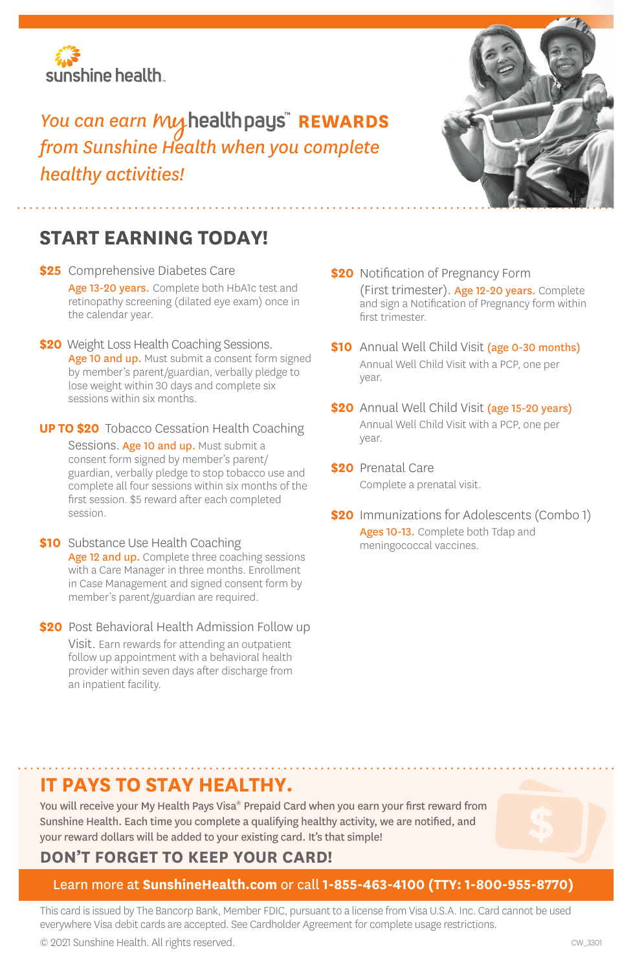

## You can earn *My* health pays" REWARDS *from Sunshine Health when you complete healthy activities!*



## **START EARNING TODAY!**

- **\$25** Comprehensive Diabetes Care Age 13-20 vears. Complete both HbA1c test and retinopathy screening (dilated eye exam) once in the calendar year.
- **\$20** Weight Loss Health Coaching Sessions. Age 10 and up. Must submit a consent form signed by member's parent/guardian, verbally pledge to lose weight within 30 days and complete six sessions within six months.
- **UP TO \$20** Tobacco Cessation Health Coaching Sessions. Age 10 and up. Must submit a consent form signed by member's parent/ guardian, verbally pledge to stop tobacco use and complete all four sessions within six months of the first session. \$5 reward after each completed session.
- **\$10** Substance Use Health Coaching Age 12 and up. Complete three coaching sessions with a Care Manager in three months. Enrollment in Case Management and signed consent form by member's parent/guardian are required.
- **\$20** Post Behavioral Health Admission Follow up Visit. Earn rewards for attending an outpatient follow up appointment with a behavioral health provider within seven days after discharge from an inpatient facility.
- **\$20** Notification of Pregnancy Form (First trimester). Age 12-20 years. Complete and sign a Notification of Pregnancy form within first trimester.
- **\$10** Annual Well Child Visit (age 0-30 months) Annual Well Child Visit with a PCP, one per year.
- **\$20** Annual Well Child Visit (age 15-20 years) Annual Well Child Visit with a PCP, one per year.
- **\$20** Prenatal Care Complete a prenatal visit.
- **\$20** Immunizations for Adolescents (Combo 1) Ages 10-13. Complete both Tdap and meningococcal vaccines.

## **IT PAYS TO STAY HEALTHY.**

You will receive your My Health Pays Visa® Prepaid Card when you earn your first reward from Sunshine Health. Each time you complete a qualifying healthy activity, we are notified, and your reward dollars will be added to your existing card. It's that simple!



## Learn more at **SunshineHealth.com** or call **1-855-463-4100 (TTY: 1-800-955-8770)**

This card is issued by The Bancorp Bank, Member FDIC, pursuant to a license from Visa U.S.A. Inc. Card cannot be used everywhere Visa debit cards are accepted. See Cardholder Agreement for complete usage restrictions.

© 2021 Sunshine Health. All rights reserved.